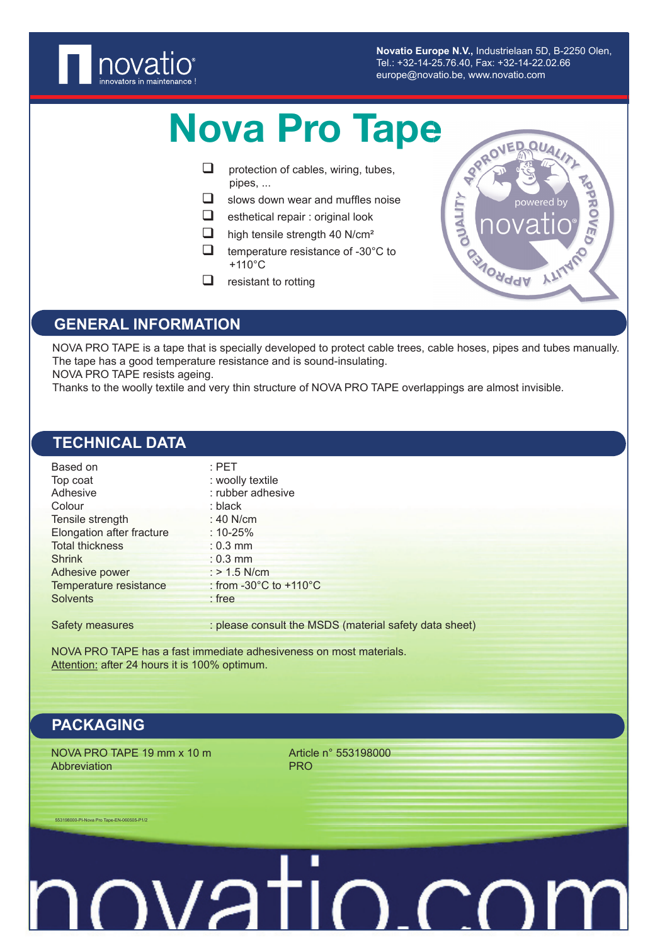

**Novatio Europe N.V.,** Industrielaan 5D, B-2250 Olen, Tel.: +32-14-25.76.40, Fax: +32-14-22.02.66 europe@novatio.be, www.novatio.com

# Nova Pro Tape

- $\Box$  protection of cables, wiring, tubes, pipes, ...
- $\Box$  slows down wear and muffles noise
- $\Box$  esthetical repair : original look
- $\Box$  high tensile strength 40 N/cm<sup>2</sup>
- $\Box$  temperature resistance of -30 $^{\circ}$ C to +110°C
- $\Box$  resistant to rotting



### **GENERAL INFORMATION**

NOVA PRO TAPE is a tape that is specially developed to protect cable trees, cable hoses, pipes and tubes manually. The tape has a good temperature resistance and is sound-insulating.

NOVA PRO TAPE resists ageing.

Thanks to the woolly textile and very thin structure of NOVA PRO TAPE overlappings are almost invisible.

# **TECHNICAL DATA**

| Based on                  | $:$ PET                                                |
|---------------------------|--------------------------------------------------------|
| Top coat                  | : woolly textile                                       |
| Adhesive                  | : rubber adhesive                                      |
| Colour                    | : black                                                |
| Tensile strength          | : 40 $N/cm$                                            |
| Elongation after fracture | : 10-25%                                               |
| <b>Total thickness</b>    | $: 0.3$ mm                                             |
| <b>Shrink</b>             | $: 0.3$ mm                                             |
| Adhesive power            | $:$ > 1.5 N/cm                                         |
| Temperature resistance    | : from -30 $^{\circ}$ C to +110 $^{\circ}$ C           |
| <b>Solvents</b>           | $:$ free                                               |
| Safety measures           | : please consult the MSDS (material safety data sheet) |

NOVA PRO TAPE has a fast immediate adhesiveness on most materials. Attention: after 24 hours it is 100% optimum.

### **PACKAGING**

NOVA PRO TAPE 19 mm  $x$  10 m  $x$  and  $y$  and  $x$  and  $y$  article n° 553198000 Abbreviation **PRO** 

#### 553198000-PI-Nova Pro Tape-EN-060505-P1/2

# <u>ovatio.co</u>